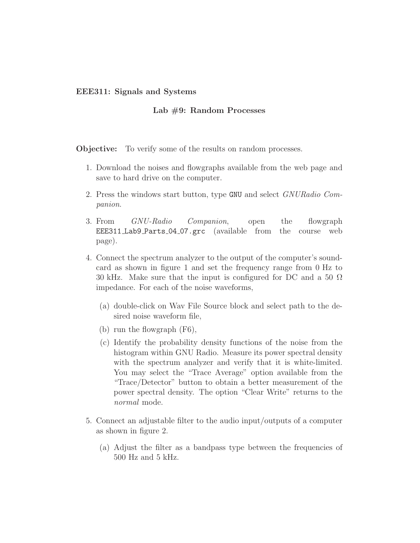## EEE311: Signals and Systems

## Lab #9: Random Processes

**Objective:** To verify some of the results on random processes.

- 1. Download the noises and flowgraphs available from the web page and save to hard drive on the computer.
- 2. Press the windows start button, type GNU and select GNURadio Companion.
- 3. From *GNU-Radio Companion*, open the flowgraph EEE311 Lab9 Parts 04 07.grc (available from the course web page).
- 4. Connect the spectrum analyzer to the output of the computer's soundcard as shown in figure 1 and set the frequency range from 0 Hz to 30 kHz. Make sure that the input is configured for DC and a 50  $\Omega$ impedance. For each of the noise waveforms,
	- (a) double-click on Wav File Source block and select path to the desired noise waveform file,
	- (b) run the flowgraph (F6),
	- (c) Identify the probability density functions of the noise from the histogram within GNU Radio. Measure its power spectral density with the spectrum analyzer and verify that it is white-limited. You may select the "Trace Average" option available from the "Trace/Detector" button to obtain a better measurement of the power spectral density. The option "Clear Write" returns to the normal mode.
- 5. Connect an adjustable filter to the audio input/outputs of a computer as shown in figure 2.
	- (a) Adjust the filter as a bandpass type between the frequencies of 500 Hz and 5 kHz.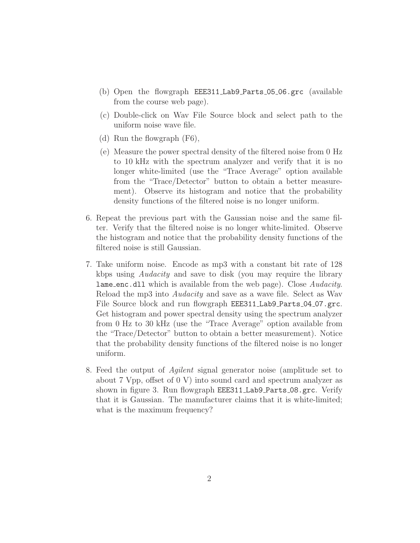- (b) Open the flowgraph EEE311 Lab9 Parts 05 06.grc (available from the course web page).
- (c) Double-click on Wav File Source block and select path to the uniform noise wave file.
- (d) Run the flowgraph (F6),
- (e) Measure the power spectral density of the filtered noise from 0 Hz to 10 kHz with the spectrum analyzer and verify that it is no longer white-limited (use the "Trace Average" option available from the "Trace/Detector" button to obtain a better measurement). Observe its histogram and notice that the probability density functions of the filtered noise is no longer uniform.
- 6. Repeat the previous part with the Gaussian noise and the same filter. Verify that the filtered noise is no longer white-limited. Observe the histogram and notice that the probability density functions of the filtered noise is still Gaussian.
- 7. Take uniform noise. Encode as mp3 with a constant bit rate of 128 kbps using Audacity and save to disk (you may require the library **lame enc.dll** which is available from the web page). Close *Audacity*. Reload the mp3 into Audacity and save as a wave file. Select as Wav File Source block and run flowgraph EEE311\_Lab9\_Parts\_04\_07.grc. Get histogram and power spectral density using the spectrum analyzer from 0 Hz to 30 kHz (use the "Trace Average" option available from the "Trace/Detector" button to obtain a better measurement). Notice that the probability density functions of the filtered noise is no longer uniform.
- 8. Feed the output of Agilent signal generator noise (amplitude set to about 7 Vpp, offset of 0 V) into sound card and spectrum analyzer as shown in figure 3. Run flowgraph EEE311\_Lab9\_Parts\_08.grc. Verify that it is Gaussian. The manufacturer claims that it is white-limited; what is the maximum frequency?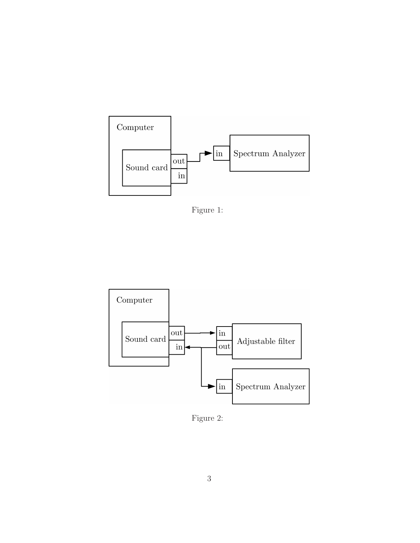

Figure 1:



Figure 2: